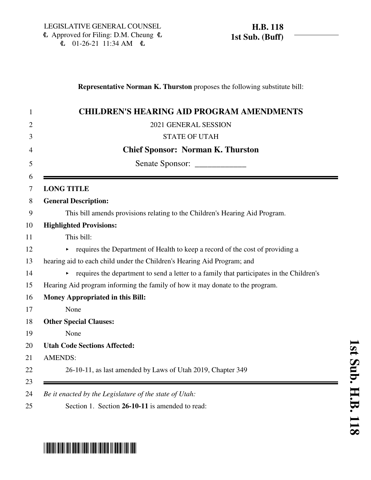#### **Representative Norman K. Thurston** proposes the following substitute bill:

| $\mathbf{1}$   | <b>CHILDREN'S HEARING AID PROGRAM AMENDMENTS</b>                                         |
|----------------|------------------------------------------------------------------------------------------|
| $\overline{2}$ | 2021 GENERAL SESSION                                                                     |
| 3              | <b>STATE OF UTAH</b>                                                                     |
| 4              | <b>Chief Sponsor: Norman K. Thurston</b>                                                 |
| 5              |                                                                                          |
| 6<br>7         | <b>LONG TITLE</b>                                                                        |
| 8              | <b>General Description:</b>                                                              |
| 9              | This bill amends provisions relating to the Children's Hearing Aid Program.              |
| 10             | <b>Highlighted Provisions:</b>                                                           |
| 11             | This bill:                                                                               |
| 12             | requires the Department of Health to keep a record of the cost of providing a            |
| 13             | hearing aid to each child under the Children's Hearing Aid Program; and                  |
| 14             | requires the department to send a letter to a family that participates in the Children's |
| 15             | Hearing Aid program informing the family of how it may donate to the program.            |
| 16             | <b>Money Appropriated in this Bill:</b>                                                  |
| 17             | None                                                                                     |
| 18             | <b>Other Special Clauses:</b>                                                            |
| 19             | None                                                                                     |
| 20             | <b>Utah Code Sections Affected:</b>                                                      |
| 21             | <b>AMENDS:</b>                                                                           |
| 22             | 26-10-11, as last amended by Laws of Utah 2019, Chapter 349                              |
| 23<br>24       | Be it enacted by the Legislature of the state of Utah:                                   |
| 25             | Section 1. Section 26-10-11 is amended to read:                                          |
|                |                                                                                          |

# \*HB0118S01\*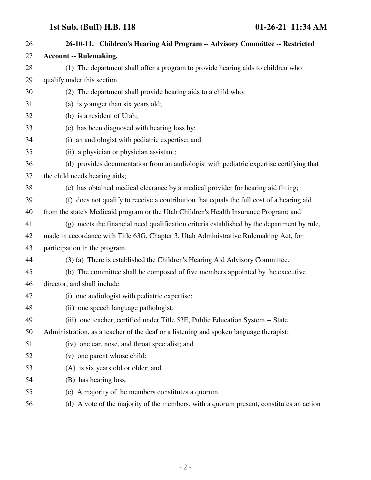## **1st Sub. (Buff) H.B. 118 01-26-21 11:34 AM**

| 26 | 26-10-11. Children's Hearing Aid Program -- Advisory Committee -- Restricted               |
|----|--------------------------------------------------------------------------------------------|
| 27 | <b>Account -- Rulemaking.</b>                                                              |
| 28 | (1) The department shall offer a program to provide hearing aids to children who           |
| 29 | qualify under this section.                                                                |
| 30 | (2) The department shall provide hearing aids to a child who:                              |
| 31 | (a) is younger than six years old;                                                         |
| 32 | (b) is a resident of Utah;                                                                 |
| 33 | (c) has been diagnosed with hearing loss by:                                               |
| 34 | (i) an audiologist with pediatric expertise; and                                           |
| 35 | (ii) a physician or physician assistant;                                                   |
| 36 | (d) provides documentation from an audiologist with pediatric expertise certifying that    |
| 37 | the child needs hearing aids;                                                              |
| 38 | (e) has obtained medical clearance by a medical provider for hearing aid fitting;          |
| 39 | (f) does not qualify to receive a contribution that equals the full cost of a hearing aid  |
| 40 | from the state's Medicaid program or the Utah Children's Health Insurance Program; and     |
| 41 | (g) meets the financial need qualification criteria established by the department by rule, |
| 42 | made in accordance with Title 63G, Chapter 3, Utah Administrative Rulemaking Act, for      |
| 43 | participation in the program.                                                              |
| 44 | (3) (a) There is established the Children's Hearing Aid Advisory Committee.                |
| 45 | (b) The committee shall be composed of five members appointed by the executive             |
| 46 | director, and shall include:                                                               |
| 47 | (i) one audiologist with pediatric expertise;                                              |
| 48 | (ii) one speech language pathologist;                                                      |
| 49 | (iii) one teacher, certified under Title 53E, Public Education System -- State             |
| 50 | Administration, as a teacher of the deaf or a listening and spoken language therapist;     |
| 51 | (iv) one ear, nose, and throat specialist; and                                             |
| 52 | (v) one parent whose child:                                                                |
| 53 | (A) is six years old or older; and                                                         |
| 54 | (B) has hearing loss.                                                                      |
| 55 | (c) A majority of the members constitutes a quorum.                                        |
| 56 | (d) A vote of the majority of the members, with a quorum present, constitutes an action    |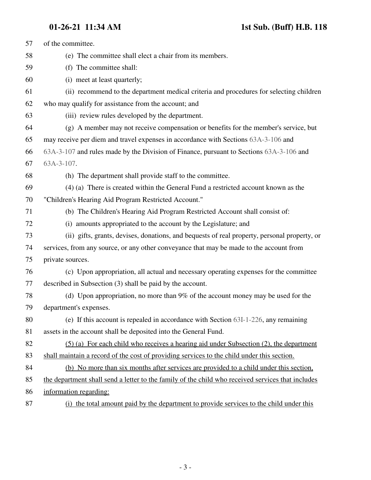| 57 | of the committee.                                                                                 |
|----|---------------------------------------------------------------------------------------------------|
| 58 | (e) The committee shall elect a chair from its members.                                           |
| 59 | (f) The committee shall:                                                                          |
| 60 | (i) meet at least quarterly;                                                                      |
| 61 | (ii) recommend to the department medical criteria and procedures for selecting children           |
| 62 | who may qualify for assistance from the account; and                                              |
| 63 | (iii) review rules developed by the department.                                                   |
| 64 | (g) A member may not receive compensation or benefits for the member's service, but               |
| 65 | may receive per diem and travel expenses in accordance with Sections 63A-3-106 and                |
| 66 | 63A-3-107 and rules made by the Division of Finance, pursuant to Sections 63A-3-106 and           |
| 67 | 63A-3-107.                                                                                        |
| 68 | (h) The department shall provide staff to the committee.                                          |
| 69 | (4) (a) There is created within the General Fund a restricted account known as the                |
| 70 | "Children's Hearing Aid Program Restricted Account."                                              |
| 71 | (b) The Children's Hearing Aid Program Restricted Account shall consist of:                       |
| 72 | (i) amounts appropriated to the account by the Legislature; and                                   |
| 73 | (ii) gifts, grants, devises, donations, and bequests of real property, personal property, or      |
| 74 | services, from any source, or any other conveyance that may be made to the account from           |
| 75 | private sources.                                                                                  |
| 76 | (c) Upon appropriation, all actual and necessary operating expenses for the committee             |
| 77 | described in Subsection (3) shall be paid by the account.                                         |
| 78 | (d) Upon appropriation, no more than 9% of the account money may be used for the                  |
| 79 | department's expenses.                                                                            |
| 80 | (e) If this account is repealed in accordance with Section 63I-1-226, any remaining               |
| 81 | assets in the account shall be deposited into the General Fund.                                   |
| 82 | (5) (a) For each child who receives a hearing aid under Subsection (2), the department            |
| 83 | shall maintain a record of the cost of providing services to the child under this section.        |
| 84 | (b) No more than six months after services are provided to a child under this section,            |
| 85 | the department shall send a letter to the family of the child who received services that includes |
| 86 | information regarding:                                                                            |
| 87 | (i) the total amount paid by the department to provide services to the child under this           |